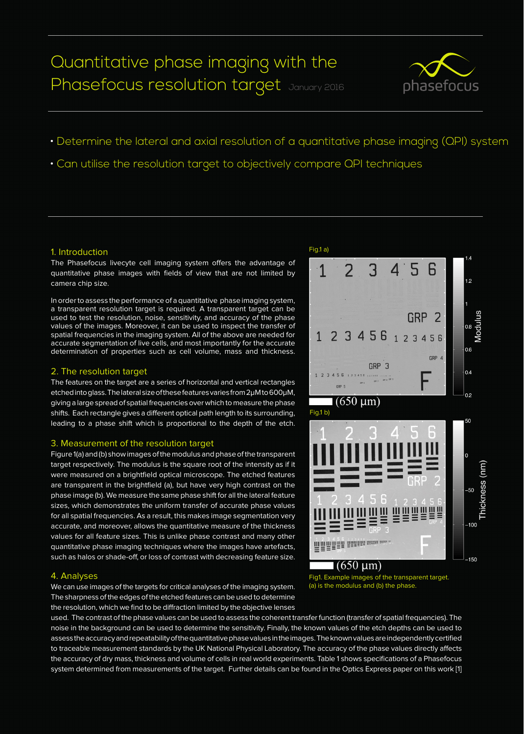# Quantitative phase imaging with the Phasefocus resolution target January 2016



- Determine the lateral and axial resolution of a quantitative phase imaging (QPI) system
- Can utilise the resolution target to objectively compare QPI techniques

#### 1. Introduction

The Phasefocus livecyte cell imaging system offers the advantage of quantitative phase images with fields of view that are not limited by camera chip size.

In order to assess the performance of a quantitative phase imaging system, a transparent resolution target is required. A transparent target can be used to test the resolution, noise, sensitivity, and accuracy of the phase values of the images. Moreover, it can be used to inspect the transfer of spatial frequencies in the imaging system. All of the above are needed for accurate segmentation of live cells, and most importantly for the accurate determination of properties such as cell volume, mass and thickness.

#### 2. The resolution target

The features on the target are a series of horizontal and vertical rectangles etched into glass. The lateral size of these features varies from 2μM to 600μM, giving a large spread of spatial frequencies over which to measure the phase shifts. Each rectangle gives a different optical path length to its surrounding, leading to a phase shift which is proportional to the depth of the etch.

#### 3. Measurement of the resolution target

Figure 1(a) and (b) show images of the modulus and phase of the transparent target respectively. The modulus is the square root of the intensity as if it were measured on a brightfield optical microscope. The etched features are transparent in the brightfield (a), but have very high contrast on the phase image (b). We measure the same phase shift for all the lateral feature sizes, which demonstrates the uniform transfer of accurate phase values for all spatial frequencies. As a result, this makes image segmentation very accurate, and moreover, allows the quantitative measure of the thickness values for all feature sizes. This is unlike phase contrast and many other quantitative phase imaging techniques where the images have artefacts, such as halos or shade-off, or loss of contrast with decreasing feature size.

#### 4. Analyses

We can use images of the targets for critical analyses of the imaging system. The sharpness of the edges of the etched features can be used to determine the resolution, which we find to be diffraction limited by the objective lenses



Fig1. Example images of the transparent target. (a) is the modulus and (b) the phase.

used. The contrast of the phase values can be used to assess the coherent transfer function (transfer of spatial frequencies). The noise in the background can be used to determine the sensitivity. Finally, the known values of the etch depths can be used to assess the accuracy and repeatability of the quantitative phase values in the images. The known values are independently certified to traceable measurement standards by the UK National Physical Laboratory. The accuracy of the phase values directly affects the accuracy of dry mass, thickness and volume of cells in real world experiments. Table 1 shows specifications of a Phasefocus system determined from measurements of the target. Further details can be found in the Optics Express paper on this work [1]